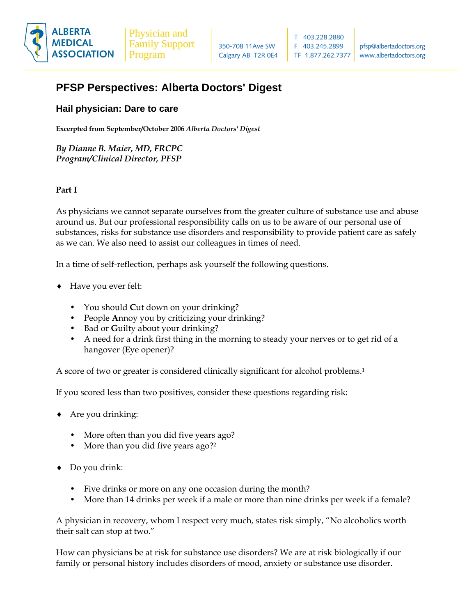

## **PFSP Perspectives: Alberta Doctors' Digest**

## **Hail physician: Dare to care**

**Excerpted from September/October 2006** *Alberta Doctors' Digest*

*By Dianne B. Maier, MD, FRCPC Program/Clinical Director, PFSP* 

## **Part I**

As physicians we cannot separate ourselves from the greater culture of substance use and abuse around us. But our professional responsibility calls on us to be aware of our personal use of substances, risks for substance use disorders and responsibility to provide patient care as safely as we can. We also need to assist our colleagues in times of need.

In a time of self-reflection, perhaps ask yourself the following questions.

- ♦ Have you ever felt:
	- You should **C**ut down on your drinking?
	- People **A**nnoy you by criticizing your drinking?
	- Bad or **G**uilty about your drinking?
	- A need for a drink first thing in the morning to steady your nerves or to get rid of a hangover (**E**ye opener)?

A score of two or greater is considered clinically significant for alcohol problems.1

If you scored less than two positives, consider these questions regarding risk:

- ♦ Are you drinking:
	- More often than you did five years ago?
	- More than you did five years ago?<sup>2</sup>
- ♦ Do you drink:
	- Five drinks or more on any one occasion during the month?
	- More than 14 drinks per week if a male or more than nine drinks per week if a female?

A physician in recovery, whom I respect very much, states risk simply, "No alcoholics worth their salt can stop at two."

How can physicians be at risk for substance use disorders? We are at risk biologically if our family or personal history includes disorders of mood, anxiety or substance use disorder.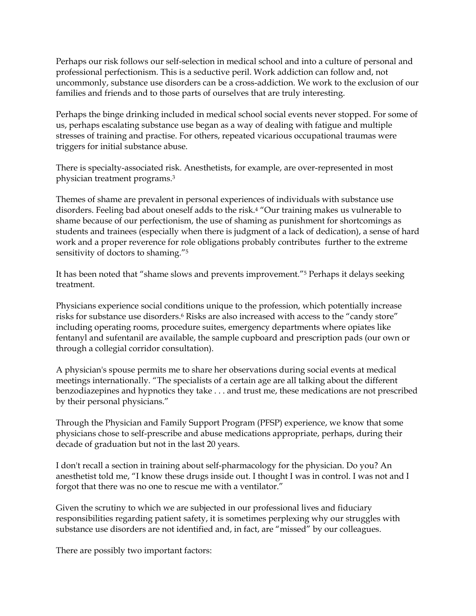Perhaps our risk follows our self-selection in medical school and into a culture of personal and professional perfectionism. This is a seductive peril. Work addiction can follow and, not uncommonly, substance use disorders can be a cross-addiction. We work to the exclusion of our families and friends and to those parts of ourselves that are truly interesting.

Perhaps the binge drinking included in medical school social events never stopped. For some of us, perhaps escalating substance use began as a way of dealing with fatigue and multiple stresses of training and practise. For others, repeated vicarious occupational traumas were triggers for initial substance abuse.

There is specialty-associated risk. Anesthetists, for example, are over-represented in most physician treatment programs.3

Themes of shame are prevalent in personal experiences of individuals with substance use disorders. Feeling bad about oneself adds to the risk.4 "Our training makes us vulnerable to shame because of our perfectionism, the use of shaming as punishment for shortcomings as students and trainees (especially when there is judgment of a lack of dedication), a sense of hard work and a proper reverence for role obligations probably contributes further to the extreme sensitivity of doctors to shaming."5

It has been noted that "shame slows and prevents improvement."5 Perhaps it delays seeking treatment.

Physicians experience social conditions unique to the profession, which potentially increase risks for substance use disorders.6 Risks are also increased with access to the "candy store" including operating rooms, procedure suites, emergency departments where opiates like fentanyl and sufentanil are available, the sample cupboard and prescription pads (our own or through a collegial corridor consultation).

A physician's spouse permits me to share her observations during social events at medical meetings internationally. "The specialists of a certain age are all talking about the different benzodiazepines and hypnotics they take . . . and trust me, these medications are not prescribed by their personal physicians."

Through the Physician and Family Support Program (PFSP) experience, we know that some physicians chose to self-prescribe and abuse medications appropriate, perhaps, during their decade of graduation but not in the last 20 years.

I don't recall a section in training about self-pharmacology for the physician. Do you? An anesthetist told me, "I know these drugs inside out. I thought I was in control. I was not and I forgot that there was no one to rescue me with a ventilator."

Given the scrutiny to which we are subjected in our professional lives and fiduciary responsibilities regarding patient safety, it is sometimes perplexing why our struggles with substance use disorders are not identified and, in fact, are "missed" by our colleagues.

There are possibly two important factors: